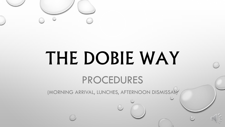

# THE DOBIE WAY

# PROCEDURES

(MORNING ARRIVAL, LUNCHES, AFTERNOON DISMISSAL)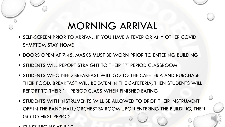# MORNING ARRIVAL

- SELF-SCREEN PRIOR TO ARRIVAL. IF YOU HAVE A FEVER OR ANY OTHER COVID SYMPTOM STAY HOME
- DOORS OPEN AT 7:45. MASKS MUST BE WORN PRIOR TO ENTERING BUILDING
- STUDENTS WILL REPORT STRAIGHT TO THEIR 1<sup>ST</sup> PERIOD CLASSROOM
- STUDENTS WHO NEED BREAKFAST WILL GO TO THE CAFETERIA AND PURCHASE THEIR FOOD. BREAKFAST WILL BE EATEN IN THE CAFETERIA, THEN STUDENTS WILL REPORT TO THEIR 1<sup>ST</sup> PERIOD CLASS WHEN FINISHED EATING
- STUDENTS WITH INSTRUMENTS WILL BE ALLOWED TO DROP THEIR INSTRUMENT OFF IN THE BAND HALL/ORCHESTRA ROOM UPON ENTERING THE BUILDING, THEN GO TO FIRST PERIOD
- $\bullet$  CLASS BECINIS AT 0.10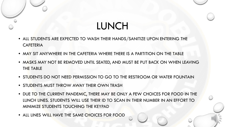# LUNCH

- ALL STUDENTS ARE EXPECTED TO WASH THEIR HANDS/SANITIZE UPON ENTERING THE **CAFETERIA**
- MAY SIT ANYWHERE IN THE CAFETERIA WHERE THERE IS A PARTITION ON THE TABLE
- MASKS MAY NOT BE REMOVED UNTIL SEATED, AND MUST BE PUT BACK ON WHEN LEAVING THE TABLE
- STUDENTS DO NOT NEED PERMISSION TO GO TO THE RESTROOM OR WATER FOUNTAIN
- STUDENTS MUST THROW AWAY THEIR OWN TRASH
- DUE TO THE CURRENT PANDEMIC, THERE MAY BE ONLY A FEW CHOICES FOR FOOD IN THE LUNCH LINES. STUDENTS WILL USE THEIR ID TO SCAN IN THEIR NUMBER IN AN EFFORT TO MINIMIZE STUDENTS TOUCHING THE KEYPAD
- ALL LINES WILL HAVE THE SAME CHOICES FOR FOOD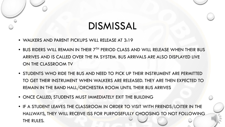# DISMISSAL

- WALKERS AND PARENT PICKUPS WILL RELEASE AT 3:19
- BUS RIDERS WILL REMAIN IN THEIR  $7^{TH}$  PERIOD CLASS AND WILL RELEASE WHEN THEIR BUS ARRIVES AND IS CALLED OVER THE PA SYSTEM. BUS ARRIVALS ARE ALSO DISPLAYED LIVE ON THE CLASSROOM TV
- STUDENTS WHO RIDE THE BUS AND NEED TO PICK UP THEIR INSTRUMENT ARE PERMITTED TO GET THEIR INSTRUMENT WHEN WALKERS ARE RELEASED. THEY ARE THEN EXPECTED TO REMAIN IN THE BAND HALL/ORCHESTRA ROOM UNTIL THEIR BUS ARRIVES
- ONCE CALLED, STUDENTS MUST IMMEDIATELY EXIT THE BUILDING
- IF A STUDENT LEAVES THE CLASSROOM IN ORDER TO VISIT WITH FRIENDS/LOITER IN THE HALLWAYS, THEY WILL RECEIVE ISS FOR PURPOSEFULLY CHOOSING TO NOT FOLLOWING THE RULES.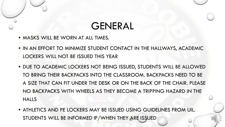#### GENERAL

- MASKS WILL BE WORN AT ALL TIMES.
- IN AN EFFORT TO MINIMIZE STUDENT CONTACT IN THE HALLWAYS, ACADEMIC LOCKERS WILL NOT BE ISSUED THIS YEAR
- DUE TO ACADEMIC LOCKERS NOT BEING ISSUED, STUDENTS WILL BE ALLOWED TO BRING THEIR BACKPACKS INTO THE CLASSROOM. BACKPACKS NEED TO BE A SIZE THAT CAN FIT UNDER THE DESK OR ON THE BACK OF THE CHAIR. PLEASE NO BACKPACKS WITH WHEELS AS THEY BECOME A TRIPPING HAZARD IN THE HALLS
- ATHLETICS AND PE LOCKERS MAY BE ISSUED USING GUIDELINES FROM UIL. STUDENTS WILL BE INFORMED IF/WHEN THEY ARE ISSUED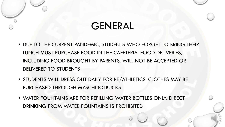### GENERAL

- DUE TO THE CURRENT PANDEMIC, STUDENTS WHO FORGET TO BRING THEIR LUNCH MUST PURCHASE FOOD IN THE CAFETERIA. FOOD DELIVERIES, INCLUDING FOOD BROUGHT BY PARENTS, WILL NOT BE ACCEPTED OR DELIVERED TO STUDENTS
- STUDENTS WILL DRESS OUT DAILY FOR PE/ATHLETICS. CLOTHES MAY BE PURCHASED THROUGH MYSCHOOLBUCKS
- WATER FOUNTAINS ARE FOR REFILLING WATER BOTTLES ONLY. DIRECT DRINKING FROM WATER FOUNTAINS IS PROHIBITED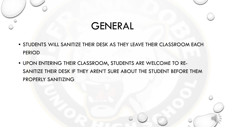#### GENERAL

- STUDENTS WILL SANITIZE THEIR DESK AS THEY LEAVE THEIR CLASSROOM EACH PERIOD
- UPON ENTERING THEIR CLASSROOM, STUDENTS ARE WELCOME TO RE-SANITIZE THEIR DESK IF THEY AREN'T SURE ABOUT THE STUDENT BEFORE THEM PROPERLY SANITIZING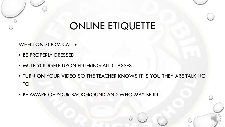#### ONLINE ETIQUETTE

WHEN ON ZOOM CALLS:

- BE PROPERLY DRESSED
- MUTE YOURSELF UPON ENTERING ALL CLASSES
- TURN ON YOUR VIDEO SO THE TEACHER KNOWS IT IS YOU THEY ARE TALKING TO
- BE AWARE OF YOUR BACKGROUND AND WHO MAY BE IN IT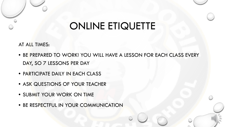# ONLINE ETIQUETTE

AT ALL TIMES:

- BE PREPARED TO WORK! YOU WILL HAVE A LESSON FOR EACH CLASS EVERY DAY, SO 7 LESSONS PER DAY
- PARTICIPATE DAILY IN EACH CLASS
- ASK QUESTIONS OF YOUR TEACHER
- SUBMIT YOUR WORK ON TIME
- BE RESPECTFUL IN YOUR COMMUNICATION